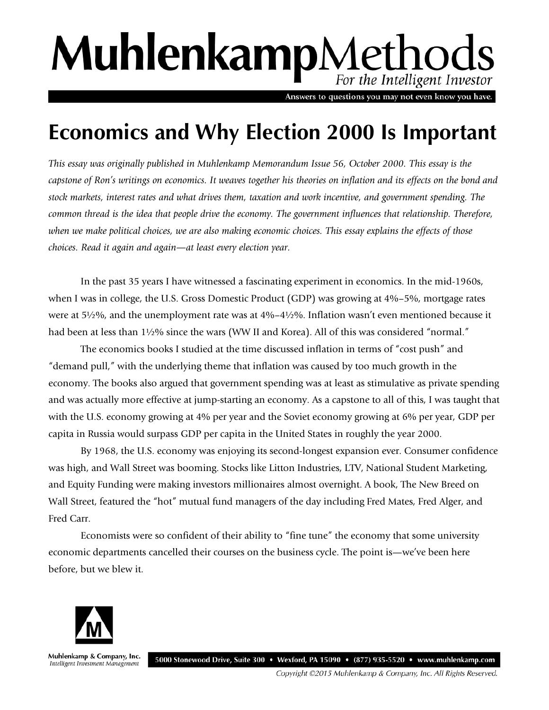## MuhlenkampMethods For the Intelligent Investor

Answers to questions you may not even know you have.

## **Economics and Why Election 2000 Is Important**

*This essay was originally published in Muhlenkamp Memorandum Issue 56, October 2000. This essay is the capstone of Ron's writings on economics. It weaves together his theories on inflation and its effects on the bond and stock markets, interest rates and what drives them, taxation and work incentive, and government spending. The common thread is the idea that people drive the economy. The government influences that relationship. Therefore, when we make political choices, we are also making economic choices. This essay explains the effects of those choices. Read it again and again—at least every election year.* 

In the past 35 years I have witnessed a fascinating experiment in economics. In the mid-1960s, when I was in college, the U.S. Gross Domestic Product (GDP) was growing at 4%–5%, mortgage rates were at 5½%, and the unemployment rate was at 4%–4½%. Inflation wasn't even mentioned because it had been at less than 1½% since the wars (WW II and Korea). All of this was considered "normal."

The economics books I studied at the time discussed inflation in terms of "cost push" and "demand pull," with the underlying theme that inflation was caused by too much growth in the economy. The books also argued that government spending was at least as stimulative as private spending and was actually more effective at jump-starting an economy. As a capstone to all of this, I was taught that with the U.S. economy growing at 4% per year and the Soviet economy growing at 6% per year, GDP per capita in Russia would surpass GDP per capita in the United States in roughly the year 2000.

By 1968, the U.S. economy was enjoying its second-longest expansion ever. Consumer confidence was high, and Wall Street was booming. Stocks like Litton Industries, LTV, National Student Marketing, and Equity Funding were making investors millionaires almost overnight. A book, The New Breed on Wall Street, featured the "hot" mutual fund managers of the day including Fred Mates, Fred Alger, and Fred Carr.

Economists were so confident of their ability to "fine tune" the economy that some university economic departments cancelled their courses on the business cycle. The point is—we've been here before, but we blew it.



Muhlenkamp & Company, Inc. Intelligent Investment Management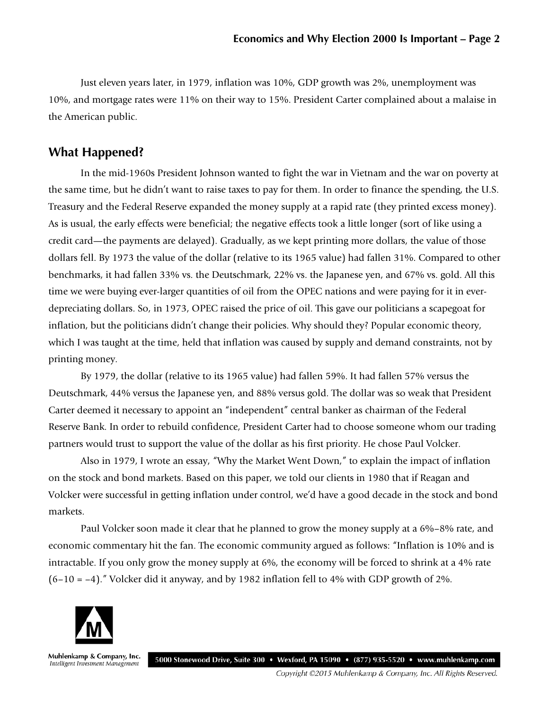Just eleven years later, in 1979, inflation was 10%, GDP growth was 2%, unemployment was 10%, and mortgage rates were 11% on their way to 15%. President Carter complained about a malaise in the American public.

## **What Happened?**

In the mid-1960s President Johnson wanted to fight the war in Vietnam and the war on poverty at the same time, but he didn't want to raise taxes to pay for them. In order to finance the spending, the U.S. Treasury and the Federal Reserve expanded the money supply at a rapid rate (they printed excess money). As is usual, the early effects were beneficial; the negative effects took a little longer (sort of like using a credit card—the payments are delayed). Gradually, as we kept printing more dollars, the value of those dollars fell. By 1973 the value of the dollar (relative to its 1965 value) had fallen 31%. Compared to other benchmarks, it had fallen 33% vs. the Deutschmark, 22% vs. the Japanese yen, and 67% vs. gold. All this time we were buying ever-larger quantities of oil from the OPEC nations and were paying for it in everdepreciating dollars. So, in 1973, OPEC raised the price of oil. This gave our politicians a scapegoat for inflation, but the politicians didn't change their policies. Why should they? Popular economic theory, which I was taught at the time, held that inflation was caused by supply and demand constraints, not by printing money.

By 1979, the dollar (relative to its 1965 value) had fallen 59%. It had fallen 57% versus the Deutschmark, 44% versus the Japanese yen, and 88% versus gold. The dollar was so weak that President Carter deemed it necessary to appoint an "independent" central banker as chairman of the Federal Reserve Bank. In order to rebuild confidence, President Carter had to choose someone whom our trading partners would trust to support the value of the dollar as his first priority. He chose Paul Volcker.

Also in 1979, I wrote an essay, "Why the Market Went Down," to explain the impact of inflation on the stock and bond markets. Based on this paper, we told our clients in 1980 that if Reagan and Volcker were successful in getting inflation under control, we'd have a good decade in the stock and bond markets.

Paul Volcker soon made it clear that he planned to grow the money supply at a 6%–8% rate, and economic commentary hit the fan. The economic community argued as follows: "Inflation is 10% and is intractable. If you only grow the money supply at 6%, the economy will be forced to shrink at a 4% rate  $(6-10 = -4)$ ." Volcker did it anyway, and by 1982 inflation fell to 4% with GDP growth of 2%.



Muhlenkamp & Company, Inc. Intelligent Investment Management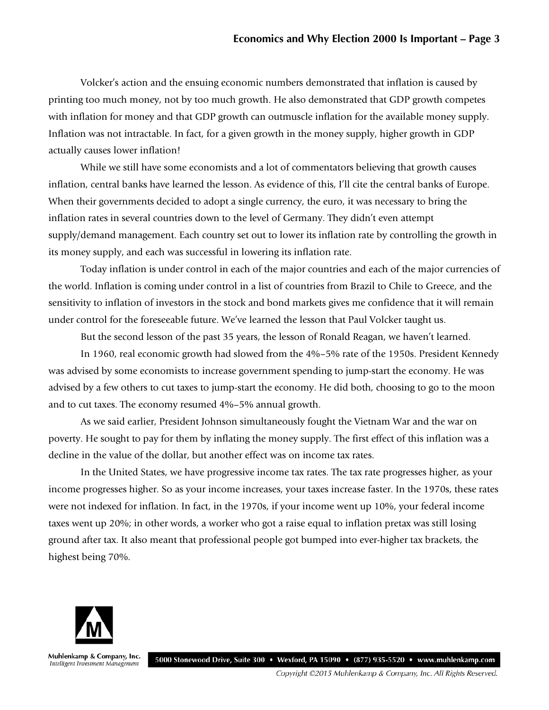Volcker's action and the ensuing economic numbers demonstrated that inflation is caused by printing too much money, not by too much growth. He also demonstrated that GDP growth competes with inflation for money and that GDP growth can outmuscle inflation for the available money supply. Inflation was not intractable. In fact, for a given growth in the money supply, higher growth in GDP actually causes lower inflation!

While we still have some economists and a lot of commentators believing that growth causes inflation, central banks have learned the lesson. As evidence of this, I'll cite the central banks of Europe. When their governments decided to adopt a single currency, the euro, it was necessary to bring the inflation rates in several countries down to the level of Germany. They didn't even attempt supply/demand management. Each country set out to lower its inflation rate by controlling the growth in its money supply, and each was successful in lowering its inflation rate.

Today inflation is under control in each of the major countries and each of the major currencies of the world. Inflation is coming under control in a list of countries from Brazil to Chile to Greece, and the sensitivity to inflation of investors in the stock and bond markets gives me confidence that it will remain under control for the foreseeable future. We've learned the lesson that Paul Volcker taught us.

But the second lesson of the past 35 years, the lesson of Ronald Reagan, we haven't learned.

In 1960, real economic growth had slowed from the 4%–5% rate of the 1950s. President Kennedy was advised by some economists to increase government spending to jump-start the economy. He was advised by a few others to cut taxes to jump-start the economy. He did both, choosing to go to the moon and to cut taxes. The economy resumed 4%–5% annual growth.

As we said earlier, President Johnson simultaneously fought the Vietnam War and the war on poverty. He sought to pay for them by inflating the money supply. The first effect of this inflation was a decline in the value of the dollar, but another effect was on income tax rates.

In the United States, we have progressive income tax rates. The tax rate progresses higher, as your income progresses higher. So as your income increases, your taxes increase faster. In the 1970s, these rates were not indexed for inflation. In fact, in the 1970s, if your income went up 10%, your federal income taxes went up 20%; in other words, a worker who got a raise equal to inflation pretax was still losing ground after tax. It also meant that professional people got bumped into ever-higher tax brackets, the highest being 70%.



Muhlenkamp & Company, Inc. Intelligent Investment Management

5000 Stonewood Drive, Suite 300 • Wexford, PA 15090 • (877) 935-5520 • www.muhlenkamp.com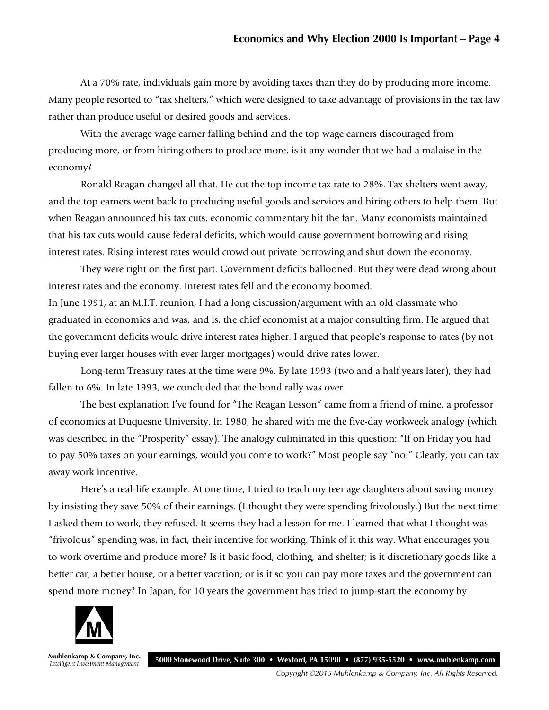At a 70% rate, individuals gain more by avoiding taxes than they do by producing more income. Many people resorted to "tax shelters," which were designed to take advantage of provisions in the tax law rather than produce useful or desired goods and services.

With the average wage earner falling behind and the top wage earners discouraged from producing more, or from hiring others to produce more, is it any wonder that we had a malaise in the economy?

Ronald Reagan changed all that. He cut the top income tax rate to 28%. Tax shelters went away, and the top earners went back to producing useful goods and services and hiring others to help them. But when Reagan announced his tax cuts, economic commentary hit the fan. Many economists maintained that his tax cuts would cause federal deficits, which would cause government borrowing and rising interest rates. Rising interest rates would crowd out private borrowing and shut down the economy.

They were right on the first part. Government deficits ballooned. But they were dead wrong about interest rates and the economy. Interest rates fell and the economy boomed. In June 1991, at an M.I.T. reunion, I had a long discussion/argument with an old classmate who graduated in economics and was, and is, the chief economist at a major consulting firm. He argued that the government deficits would drive interest rates higher. I argued that people's response to rates (by not buying ever larger houses with ever larger mortgages) would drive rates lower.

Long-term Treasury rates at the time were 9%. By late 1993 (two and a half years later), they had fallen to 6%. In late 1993, we concluded that the bond rally was over.

The best explanation I've found for "The Reagan Lesson" came from a friend of mine, a professor of economics at Duquesne University. In 1980, he shared with me the five-day workweek analogy (which was described in the "Prosperity" essay). The analogy culminated in this question: "If on Friday you had to pay 50% taxes on your earnings, would you come to work?" Most people say "no." Clearly, you can tax away work incentive.

Here's a real-life example. At one time, I tried to teach my teenage daughters about saving money by insisting they save 50% of their earnings. (I thought they were spending frivolously.) But the next time I asked them to work, they refused. It seems they had a lesson for me. I learned that what I thought was "frivolous" spending was, in fact, their incentive for working. Think of it this way. What encourages you to work overtime and produce more? Is it basic food, clothing, and shelter; is it discretionary goods like a better car, a better house, or a better vacation; or is it so you can pay more taxes and the government can spend more money? In Japan, for 10 years the government has tried to jump-start the economy by



Muhlenkamp & Company, Inc.<br>Intelligent Investment Management 5000 Stonewood Drive, Suite 300 · Wexford, PA 15090 · (877) 935-5520 · www.muhlenkamp.com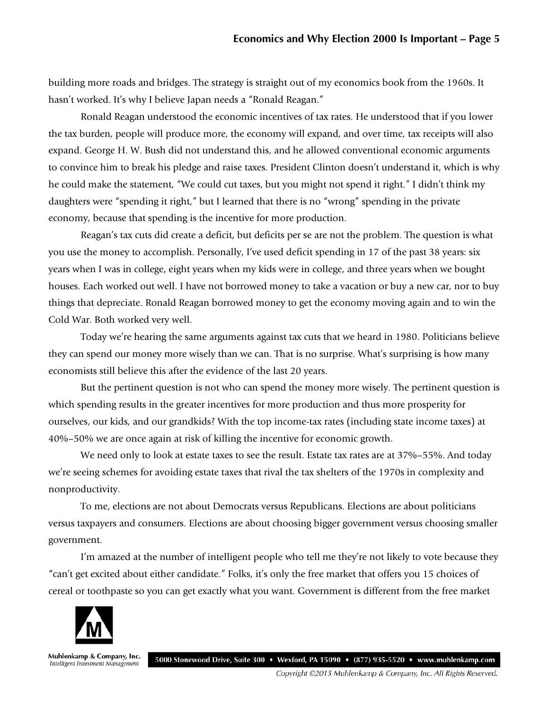building more roads and bridges. The strategy is straight out of my economics book from the 1960s. It hasn't worked. It's why I believe Japan needs a "Ronald Reagan."

Ronald Reagan understood the economic incentives of tax rates. He understood that if you lower the tax burden, people will produce more, the economy will expand, and over time, tax receipts will also expand. George H. W. Bush did not understand this, and he allowed conventional economic arguments to convince him to break his pledge and raise taxes. President Clinton doesn't understand it, which is why he could make the statement, "We could cut taxes, but you might not spend it right." I didn't think my daughters were "spending it right," but I learned that there is no "wrong" spending in the private economy, because that spending is the incentive for more production.

Reagan's tax cuts did create a deficit, but deficits per se are not the problem. The question is what you use the money to accomplish. Personally, I've used deficit spending in 17 of the past 38 years: six years when I was in college, eight years when my kids were in college, and three years when we bought houses. Each worked out well. I have not borrowed money to take a vacation or buy a new car, nor to buy things that depreciate. Ronald Reagan borrowed money to get the economy moving again and to win the Cold War. Both worked very well.

Today we're hearing the same arguments against tax cuts that we heard in 1980. Politicians believe they can spend our money more wisely than we can. That is no surprise. What's surprising is how many economists still believe this after the evidence of the last 20 years.

But the pertinent question is not who can spend the money more wisely. The pertinent question is which spending results in the greater incentives for more production and thus more prosperity for ourselves, our kids, and our grandkids? With the top income-tax rates (including state income taxes) at 40%–50% we are once again at risk of killing the incentive for economic growth.

We need only to look at estate taxes to see the result. Estate tax rates are at 37%–55%. And today we're seeing schemes for avoiding estate taxes that rival the tax shelters of the 1970s in complexity and nonproductivity.

To me, elections are not about Democrats versus Republicans. Elections are about politicians versus taxpayers and consumers. Elections are about choosing bigger government versus choosing smaller government.

I'm amazed at the number of intelligent people who tell me they're not likely to vote because they "can't get excited about either candidate." Folks, it's only the free market that offers you 15 choices of cereal or toothpaste so you can get exactly what you want. Government is different from the free market



Muhlenkamp & Company, Inc.<br>Intelligent Investment Management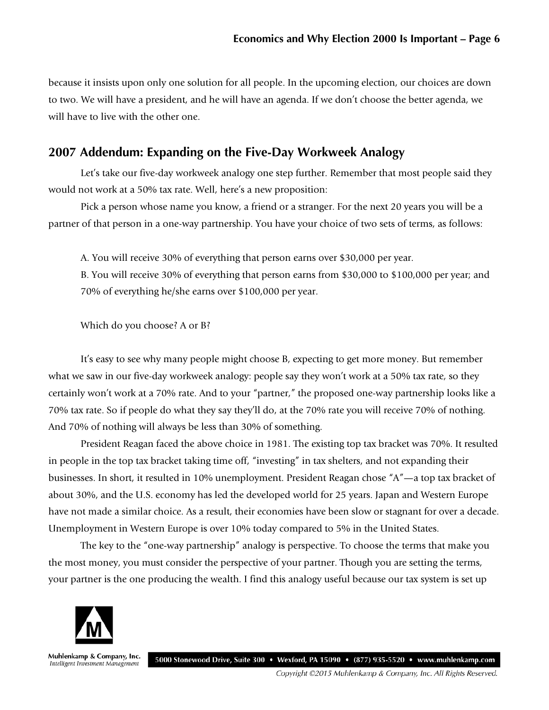because it insists upon only one solution for all people. In the upcoming election, our choices are down to two. We will have a president, and he will have an agenda. If we don't choose the better agenda, we will have to live with the other one.

## **2007 Addendum: Expanding on the Five-Day Workweek Analogy**

Let's take our five-day workweek analogy one step further. Remember that most people said they would not work at a 50% tax rate. Well, here's a new proposition:

Pick a person whose name you know, a friend or a stranger. For the next 20 years you will be a partner of that person in a one-way partnership. You have your choice of two sets of terms, as follows:

A. You will receive 30% of everything that person earns over \$30,000 per year.

B. You will receive 30% of everything that person earns from \$30,000 to \$100,000 per year; and 70% of everything he/she earns over \$100,000 per year.

Which do you choose? A or B?

It's easy to see why many people might choose B, expecting to get more money. But remember what we saw in our five-day workweek analogy: people say they won't work at a 50% tax rate, so they certainly won't work at a 70% rate. And to your "partner," the proposed one-way partnership looks like a 70% tax rate. So if people do what they say they'll do, at the 70% rate you will receive 70% of nothing. And 70% of nothing will always be less than 30% of something.

President Reagan faced the above choice in 1981. The existing top tax bracket was 70%. It resulted in people in the top tax bracket taking time off, "investing" in tax shelters, and not expanding their businesses. In short, it resulted in 10% unemployment. President Reagan chose "A"—a top tax bracket of about 30%, and the U.S. economy has led the developed world for 25 years. Japan and Western Europe have not made a similar choice. As a result, their economies have been slow or stagnant for over a decade. Unemployment in Western Europe is over 10% today compared to 5% in the United States.

The key to the "one-way partnership" analogy is perspective. To choose the terms that make you the most money, you must consider the perspective of your partner. Though you are setting the terms, your partner is the one producing the wealth. I find this analogy useful because our tax system is set up



Muhlenkamp & Company, Inc. 5000 Stonewood Drive, Suite 300 • Wexford, PA 15090 • (877) 935-5520 • www.muhlenkamp.com Intelligent Investment Management